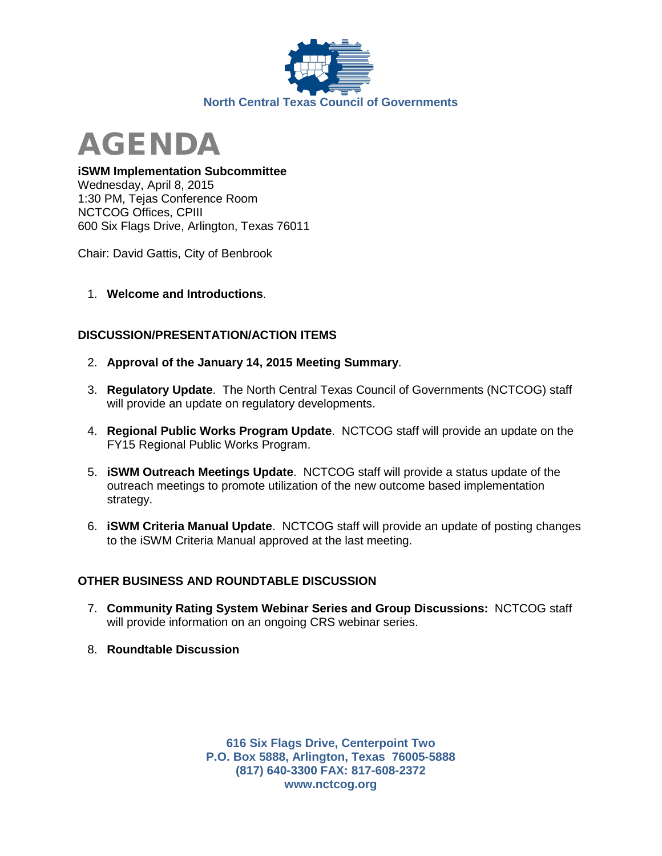



## **iSWM Implementation Subcommittee**

Wednesday, April 8, 2015 1:30 PM, Tejas Conference Room NCTCOG Offices, CPIII 600 Six Flags Drive, Arlington, Texas 76011

Chair: David Gattis, City of Benbrook

1. **Welcome and Introductions**.

## **DISCUSSION/PRESENTATION/ACTION ITEMS**

- 2. **Approval of the January 14, 2015 Meeting Summary**.
- 3. **Regulatory Update**. The North Central Texas Council of Governments (NCTCOG) staff will provide an update on regulatory developments.
- 4. **Regional Public Works Program Update**. NCTCOG staff will provide an update on the FY15 Regional Public Works Program.
- 5. **iSWM Outreach Meetings Update**. NCTCOG staff will provide a status update of the outreach meetings to promote utilization of the new outcome based implementation strategy.
- 6. **iSWM Criteria Manual Update**. NCTCOG staff will provide an update of posting changes to the iSWM Criteria Manual approved at the last meeting.

## **OTHER BUSINESS AND ROUNDTABLE DISCUSSION**

- 7. **Community Rating System Webinar Series and Group Discussions:** NCTCOG staff will provide information on an ongoing CRS webinar series.
- 8. **Roundtable Discussion**

**616 Six Flags Drive, Centerpoint Two P.O. Box 5888, Arlington, Texas 76005-5888 (817) 640-3300 FAX: 817-608-2372 www.nctcog.org**